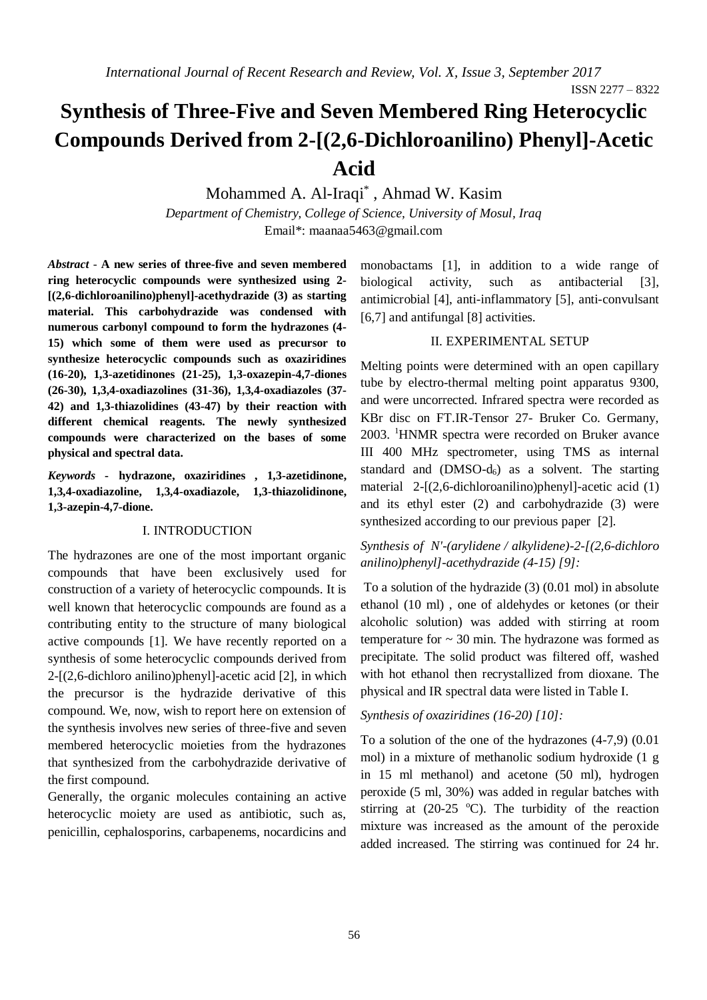ISSN 2277 – 8322

# **Synthesis of Three-Five and Seven Membered Ring Heterocyclic Compounds Derived from 2-[(2,6-Dichloroanilino) Phenyl]-Acetic Acid**

# Mohammed A. Al-Iraqi\* , Ahmad W. Kasim

*Department of Chemistry, College of Science, University of Mosul, Iraq* Email\*: [maanaa5463@gmail.com](mailto:maanaa5463@gmail.com)

*Abstract* - **A new series of three-five and seven membered ring heterocyclic compounds were synthesized using 2- [(2,6-dichloroanilino)phenyl]-acethydrazide (3) as starting material. This carbohydrazide was condensed with numerous carbonyl compound to form the hydrazones (4- 15) which some of them were used as precursor to synthesize heterocyclic compounds such as oxaziridines (16-20), 1,3-azetidinones (21-25), 1,3-oxazepin-4,7-diones (26-30), 1,3,4-oxadiazolines (31-36), 1,3,4-oxadiazoles (37- 42) and 1,3-thiazolidines (43-47) by their reaction with different chemical reagents. The newly synthesized compounds were characterized on the bases of some physical and spectral data.**

*Keywords* **- hydrazone, oxaziridines , 1,3-azetidinone, 1,3,4-oxadiazoline, 1,3,4-oxadiazole, 1,3-thiazolidinone, 1,3-azepin-4,7-dione.**

#### I. INTRODUCTION

The hydrazones are one of the most important organic compounds that have been exclusively used for construction of a variety of heterocyclic compounds. It is well known that heterocyclic compounds are found as a contributing entity to the structure of many biological active compounds [1]. We have recently reported on a synthesis of some heterocyclic compounds derived from 2-[(2,6-dichloro anilino)phenyl]-acetic acid [2], in which the precursor is the hydrazide derivative of this compound. We, now, wish to report here on extension of the synthesis involves new series of three-five and seven membered heterocyclic moieties from the hydrazones that synthesized from the carbohydrazide derivative of the first compound.

Generally, the organic molecules containing an active heterocyclic moiety are used as antibiotic, such as, penicillin, cephalosporins, carbapenems, nocardicins and monobactams [1], in addition to a wide range of biological activity, such as antibacterial [3], antimicrobial [4], anti-inflammatory [5], anti-convulsant [6,7] and antifungal [8] activities.

#### II. EXPERIMENTAL SETUP

Melting points were determined with an open capillary tube by electro-thermal melting point apparatus 9300, and were uncorrected. Infrared spectra were recorded as KBr disc on FT.IR-Tensor 27- Bruker Co. Germany, 2003. <sup>1</sup>HNMR spectra were recorded on Bruker avance III 400 MHz spectrometer, using TMS as internal standard and  $(DMSO-d<sub>6</sub>)$  as a solvent. The starting material 2-[(2,6-dichloroanilino)phenyl]-acetic acid (1) and its ethyl ester (2) and carbohydrazide (3) were synthesized according to our previous paper [2].

## *Synthesis of N'-(arylidene / alkylidene)-2-[(2,6-dichloro anilino)phenyl]-acethydrazide (4-15) [9]:*

To a solution of the hydrazide (3) (0.01 mol) in absolute ethanol (10 ml) , one of aldehydes or ketones (or their alcoholic solution) was added with stirring at room temperature for  $\sim$  30 min. The hydrazone was formed as precipitate. The solid product was filtered off, washed with hot ethanol then recrystallized from dioxane. The physical and IR spectral data were listed in Table I.

#### *Synthesis of oxaziridines (16-20) [10]:*

To a solution of the one of the hydrazones (4-7,9) (0.01 mol) in a mixture of methanolic sodium hydroxide (1 g in 15 ml methanol) and acetone (50 ml), hydrogen peroxide (5 ml, 30%) was added in regular batches with stirring at  $(20-25 \text{ °C})$ . The turbidity of the reaction mixture was increased as the amount of the peroxide added increased. The stirring was continued for 24 hr.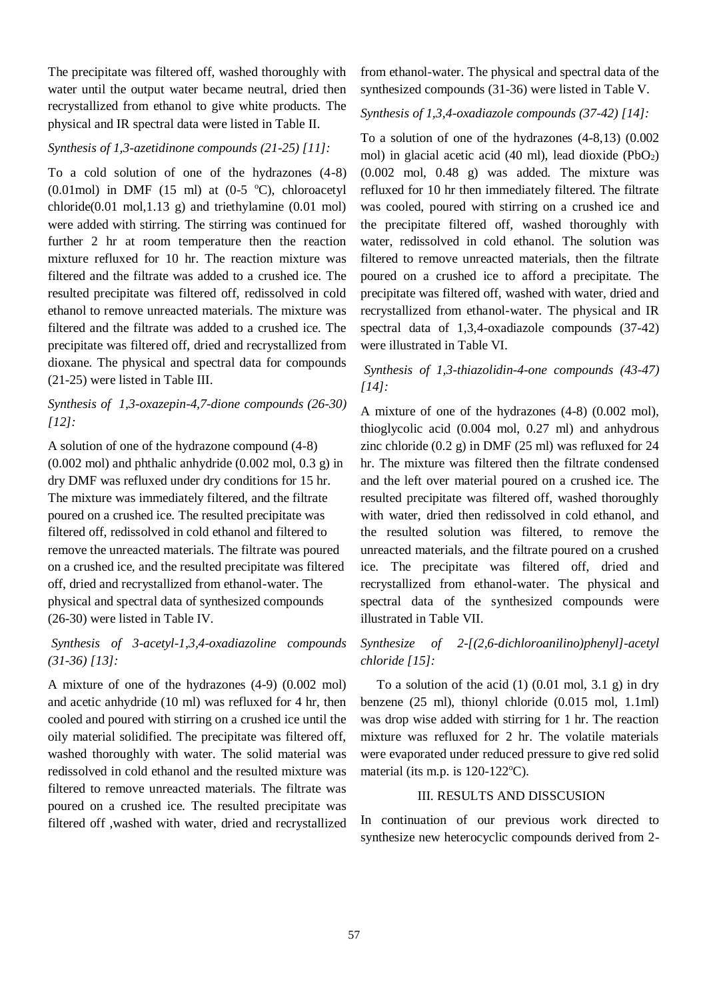The precipitate was filtered off, washed thoroughly with water until the output water became neutral, dried then recrystallized from ethanol to give white products. The physical and IR spectral data were listed in Table II.

#### *Synthesis of 1,3-azetidinone compounds (21-25) [11]:*

To a cold solution of one of the hydrazones (4-8) (0.01mol) in DMF (15 ml) at (0-5  $\degree$ C), chloroacetyl  $chloride(0.01 \text{ mol}, 1.13 \text{ g})$  and triethylamine  $(0.01 \text{ mol})$ were added with stirring. The stirring was continued for further 2 hr at room temperature then the reaction mixture refluxed for 10 hr. The reaction mixture was filtered and the filtrate was added to a crushed ice. The resulted precipitate was filtered off, redissolved in cold ethanol to remove unreacted materials. The mixture was filtered and the filtrate was added to a crushed ice. The precipitate was filtered off, dried and recrystallized from dioxane. The physical and spectral data for compounds (21-25) were listed in Table III.

#### *Synthesis of 1,3-oxazepin-4,7-dione compounds (26-30) [12]:*

A solution of one of the hydrazone compound (4-8)  $(0.002 \text{ mol})$  and phthalic anhydride  $(0.002 \text{ mol}, 0.3 \text{ g})$  in dry DMF was refluxed under dry conditions for 15 hr. The mixture was immediately filtered, and the filtrate poured on a crushed ice. The resulted precipitate was filtered off, redissolved in cold ethanol and filtered to remove the unreacted materials. The filtrate was poured on a crushed ice, and the resulted precipitate was filtered off, dried and recrystallized from ethanol-water. The physical and spectral data of synthesized compounds (26-30) were listed in Table IV.

### *Synthesis of 3-acetyl-1,3,4-oxadiazoline compounds (31-36) [13]:*

A mixture of one of the hydrazones (4-9) (0.002 mol) and acetic anhydride (10 ml) was refluxed for 4 hr, then cooled and poured with stirring on a crushed ice until the oily material solidified. The precipitate was filtered off, washed thoroughly with water. The solid material was redissolved in cold ethanol and the resulted mixture was filtered to remove unreacted materials. The filtrate was poured on a crushed ice. The resulted precipitate was filtered off ,washed with water, dried and recrystallized from ethanol-water. The physical and spectral data of the synthesized compounds (31-36) were listed in Table V.

#### *Synthesis of 1,3,4-oxadiazole compounds (37-42) [14]:*

To a solution of one of the hydrazones (4-8,13) (0.002 mol) in glacial acetic acid (40 ml), lead dioxide  $(PbO<sub>2</sub>)$ (0.002 mol, 0.48 g) was added. The mixture was refluxed for 10 hr then immediately filtered. The filtrate was cooled, poured with stirring on a crushed ice and the precipitate filtered off, washed thoroughly with water, redissolved in cold ethanol. The solution was filtered to remove unreacted materials, then the filtrate poured on a crushed ice to afford a precipitate. The precipitate was filtered off, washed with water, dried and recrystallized from ethanol-water. The physical and IR spectral data of 1,3,4-oxadiazole compounds (37-42) were illustrated in Table VI.

#### *Synthesis of 1,3-thiazolidin-4-one compounds (43-47) [14]:*

A mixture of one of the hydrazones (4-8) (0.002 mol), thioglycolic acid (0.004 mol, 0.27 ml) and anhydrous zinc chloride (0.2 g) in DMF (25 ml) was refluxed for 24 hr. The mixture was filtered then the filtrate condensed and the left over material poured on a crushed ice. The resulted precipitate was filtered off, washed thoroughly with water, dried then redissolved in cold ethanol, and the resulted solution was filtered, to remove the unreacted materials, and the filtrate poured on a crushed ice. The precipitate was filtered off, dried and recrystallized from ethanol-water. The physical and spectral data of the synthesized compounds were illustrated in Table VII.

### *Synthesize of 2-[(2,6-dichloroanilino)phenyl]-acetyl chloride [15]:*

To a solution of the acid  $(1)$   $(0.01$  mol,  $3.1$  g) in dry benzene (25 ml), thionyl chloride (0.015 mol, 1.1ml) was drop wise added with stirring for 1 hr. The reaction mixture was refluxed for 2 hr. The volatile materials were evaporated under reduced pressure to give red solid material (its m.p. is  $120-122$ °C).

#### III. RESULTS AND DISSCUSION

In continuation of our previous work directed to synthesize new heterocyclic compounds derived from 2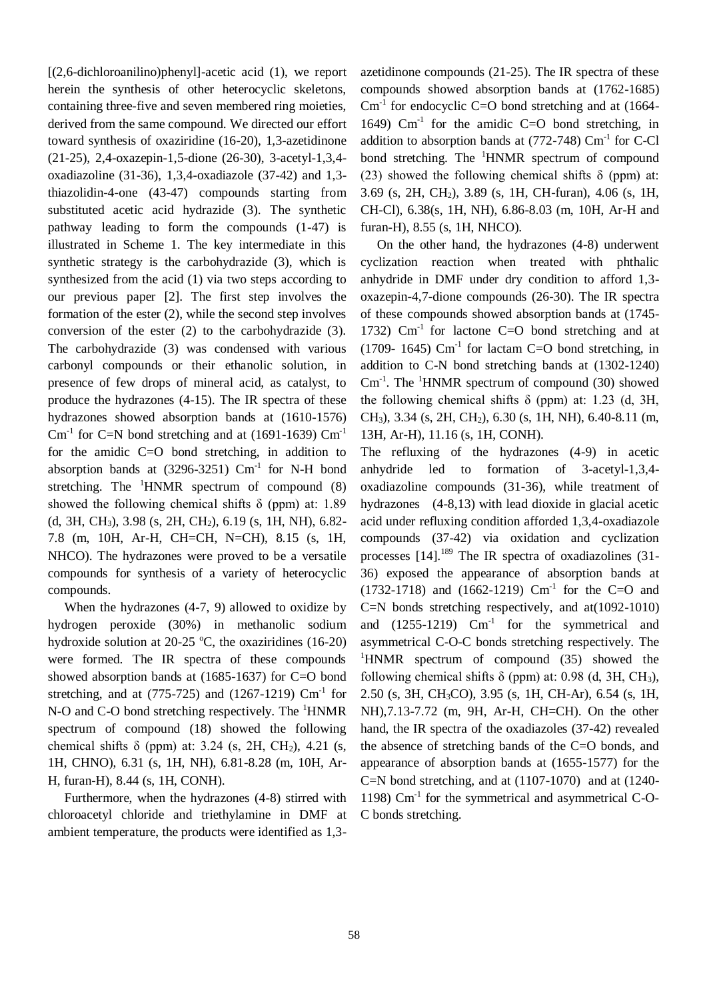[(2,6-dichloroanilino)phenyl]-acetic acid (1), we report herein the synthesis of other heterocyclic skeletons, containing three-five and seven membered ring moieties, derived from the same compound. We directed our effort toward synthesis of oxaziridine (16-20), 1,3-azetidinone (21-25), 2,4-oxazepin-1,5-dione (26-30), 3-acetyl-1,3,4 oxadiazoline (31-36), 1,3,4-oxadiazole (37-42) and 1,3 thiazolidin-4-one (43-47) compounds starting from substituted acetic acid hydrazide (3). The synthetic pathway leading to form the compounds (1-47) is illustrated in Scheme 1. The key intermediate in this synthetic strategy is the carbohydrazide (3), which is synthesized from the acid (1) via two steps according to our previous paper [2]. The first step involves the formation of the ester (2), while the second step involves conversion of the ester (2) to the carbohydrazide (3). The carbohydrazide (3) was condensed with various carbonyl compounds or their ethanolic solution, in presence of few drops of mineral acid, as catalyst, to produce the hydrazones (4-15). The IR spectra of these hydrazones showed absorption bands at (1610-1576) Cm<sup>-1</sup> for C=N bond stretching and at  $(1691-1639)$  Cm<sup>-1</sup> for the amidic C=O bond stretching, in addition to absorption bands at  $(3296-3251)$  Cm<sup>-1</sup> for N-H bond stretching. The  ${}^{1}$ HNMR spectrum of compound (8) showed the following chemical shifts  $\delta$  (ppm) at: 1.89 (d, 3H, CH3), 3.98 (s, 2H, CH2), 6.19 (s, 1H, NH), 6.82- 7.8 (m, 10H, Ar-H, CH=CH, N=CH), 8.15 (s, 1H, NHCO). The hydrazones were proved to be a versatile compounds for synthesis of a variety of heterocyclic compounds.

 When the hydrazones (4-7, 9) allowed to oxidize by hydrogen peroxide (30%) in methanolic sodium hydroxide solution at 20-25  $\degree$ C, the oxaziridines (16-20) were formed. The IR spectra of these compounds showed absorption bands at (1685-1637) for C=O bond stretching, and at  $(775-725)$  and  $(1267-1219)$  Cm<sup>-1</sup> for N-O and C-O bond stretching respectively. The <sup>1</sup>HNMR spectrum of compound (18) showed the following chemical shifts  $\delta$  (ppm) at: 3.24 (s, 2H, CH<sub>2</sub>), 4.21 (s, 1H, CHNO), 6.31 (s, 1H, NH), 6.81-8.28 (m, 10H, Ar-H, furan-H), 8.44 (s, 1H, CONH).

 Furthermore, when the hydrazones (4-8) stirred with chloroacetyl chloride and triethylamine in DMF at ambient temperature, the products were identified as 1,3azetidinone compounds (21-25). The IR spectra of these compounds showed absorption bands at (1762-1685)  $\text{Cm}^{-1}$  for endocyclic C=O bond stretching and at (1664-1649)  $\text{Cm}^{-1}$  for the amidic C=O bond stretching, in addition to absorption bands at  $(772-748)$  Cm<sup>-1</sup> for C-Cl bond stretching. The <sup>1</sup>HNMR spectrum of compound (23) showed the following chemical shifts  $\delta$  (ppm) at: 3.69 (s, 2H, CH2), 3.89 (s, 1H, CH-furan), 4.06 (s, 1H, CH-Cl), 6.38(s, 1H, NH), 6.86-8.03 (m, 10H, Ar-H and furan-H), 8.55 (s, 1H, NHCO).

 On the other hand, the hydrazones (4-8) underwent cyclization reaction when treated with phthalic anhydride in DMF under dry condition to afford 1,3 oxazepin-4,7-dione compounds (26-30). The IR spectra of these compounds showed absorption bands at (1745- 1732)  $\text{Cm}^{-1}$  for lactone C=O bond stretching and at  $(1709 - 1645)$  Cm<sup>-1</sup> for lactam C=O bond stretching, in addition to C-N bond stretching bands at (1302-1240)  $\text{Cm}^{-1}$ . The <sup>1</sup>HNMR spectrum of compound (30) showed the following chemical shifts  $\delta$  (ppm) at: 1.23 (d, 3H, CH3), 3.34 (s, 2H, CH2), 6.30 (s, 1H, NH), 6.40-8.11 (m, 13H, Ar-H), 11.16 (s, 1H, CONH).

The refluxing of the hydrazones (4-9) in acetic anhydride led to formation of 3-acetyl-1,3,4 oxadiazoline compounds (31-36), while treatment of hydrazones (4-8,13) with lead dioxide in glacial acetic acid under refluxing condition afforded 1,3,4-oxadiazole compounds (37-42) via oxidation and cyclization processes  $[14]$ .<sup>189</sup> The IR spectra of oxadiazolines (31-36) exposed the appearance of absorption bands at  $(1732-1718)$  and  $(1662-1219)$  Cm<sup>-1</sup> for the C=O and C=N bonds stretching respectively, and at(1092-1010) and  $(1255-1219)$  Cm<sup>-1</sup> for the symmetrical and asymmetrical C-O-C bonds stretching respectively. The  $1$ HNMR spectrum of compound (35) showed the following chemical shifts  $\delta$  (ppm) at: 0.98 (d, 3H, CH<sub>3</sub>), 2.50 (s, 3H, CH3CO), 3.95 (s, 1H, CH-Ar), 6.54 (s, 1H, NH),7.13-7.72 (m, 9H, Ar-H, CH=CH). On the other hand, the IR spectra of the oxadiazoles (37-42) revealed the absence of stretching bands of the C=O bonds, and appearance of absorption bands at (1655-1577) for the C=N bond stretching, and at  $(1107-1070)$  and at  $(1240-$ 1198) Cm<sup>-1</sup> for the symmetrical and asymmetrical C-O-C bonds stretching.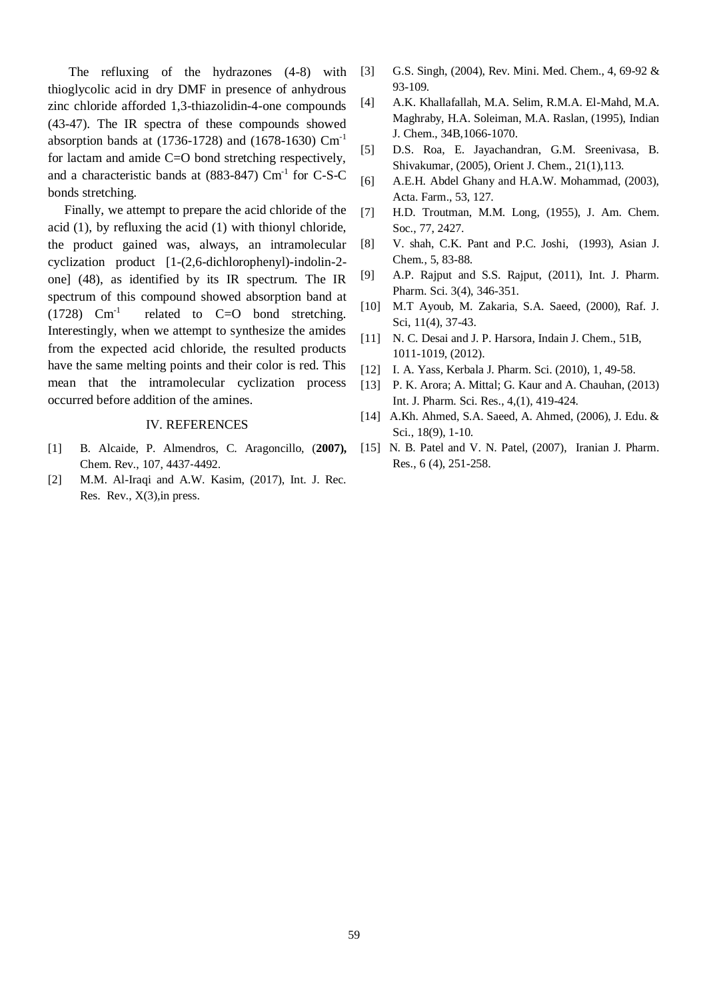The refluxing of the hydrazones (4-8) with thioglycolic acid in dry DMF in presence of anhydrous zinc chloride afforded 1,3-thiazolidin-4-one compounds (43-47). The IR spectra of these compounds showed absorption bands at (1736-1728) and (1678-1630) Cm-1 for lactam and amide C=O bond stretching respectively, and a characteristic bands at  $(883-847)$  Cm<sup>-1</sup> for C-S-C bonds stretching.

 Finally, we attempt to prepare the acid chloride of the acid (1), by refluxing the acid (1) with thionyl chloride, the product gained was, always, an intramolecular cyclization product [1-(2,6-dichlorophenyl)-indolin-2 one] (48), as identified by its IR spectrum. The IR spectrum of this compound showed absorption band at  $(1728)$  Cm<sup>-1</sup> related to C=O bond stretching. Interestingly, when we attempt to synthesize the amides from the expected acid chloride, the resulted products have the same melting points and their color is red. This mean that the intramolecular cyclization process occurred before addition of the amines.

#### IV. REFERENCES

- [1] B. Alcaide, P. Almendros, C. Aragoncillo, (**2007),** Chem. Rev., 107, 4437‐4492.
- [2] M.M. Al-Iraqi and A.W. Kasim, (2017), Int. J. Rec. Res. Rev., X(3),in press.
- [3] G.S. Singh, (2004), Rev. Mini. Med. Chem., 4, 69-92 & 93-109.
- [4] A.K. Khallafallah, M.A. Selim, R.M.A. El-Mahd, M.A. Maghraby, H.A. Soleiman, M.A. Raslan, (1995), Indian J. Chem., 34B,1066-1070.
- [5] D.S. Roa, E. Jayachandran, G.M. Sreenivasa, B. Shivakumar, (2005), Orient J. Chem., 21(1),113.
- [6] A.E.H. Abdel Ghany and H.A.W. Mohammad, (2003), Acta. Farm., 53, 127.
- [7] H.D. Troutman, M.M. Long, (1955), J. Am. Chem. Soc., 77, 2427.
- [8] V. shah, C.K. Pant and P.C. Joshi, (1993), Asian J. Chem*.*, 5, 83-88.
- [9] A.P. Rajput and S.S. Rajput, (2011), Int. J. Pharm. Pharm. Sci. 3(4), 346-351.
- [10] M.T Ayoub, M. Zakaria, S.A. Saeed, (2000), Raf. J. Sci, 11(4), 37-43.
- [11] N. C. Desai and J. P. Harsora, Indain J. Chem., 51B, 1011-1019, (2012).
- [12] I. A. Yass, Kerbala J. Pharm. Sci. (2010), 1, 49-58.
- [13] P. K. Arora; A. Mittal; G. Kaur and A. Chauhan, (2013) Int. J. Pharm. Sci. Res., 4,(1), 419-424.
- [14] A.Kh. Ahmed, S.A. Saeed, A. Ahmed, (2006), J. Edu. & Sci., 18(9), 1-10.
- [15] N. B. Patel and V. N. Patel, (2007), Iranian J. Pharm. Res., 6 (4), 251-258.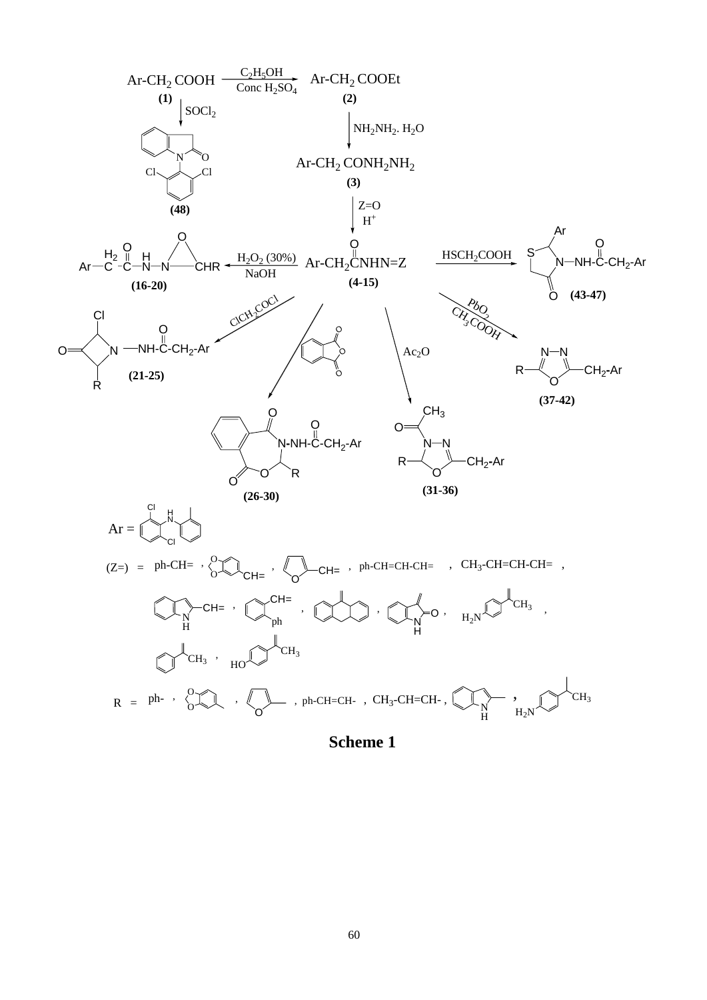

**Scheme 1**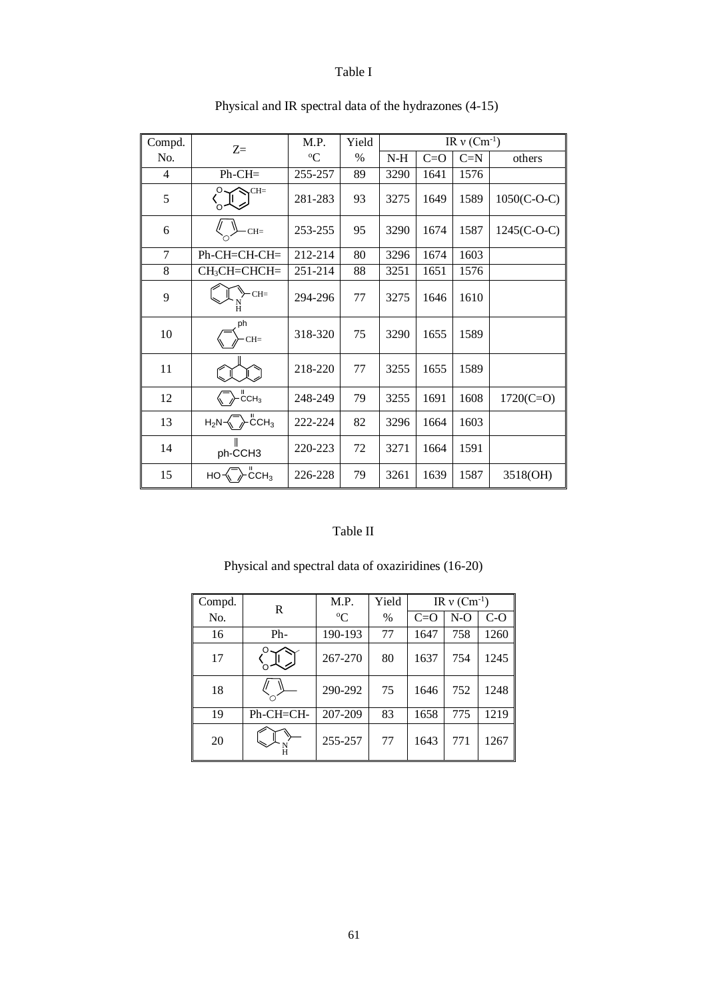# Table I

| Compd.         | $Z =$                                          | M.P.        | Yield |       |         | IR $v$ (Cm <sup>-1</sup> ) |               |
|----------------|------------------------------------------------|-------------|-------|-------|---------|----------------------------|---------------|
| No.            |                                                | $\rm ^{o}C$ | $\%$  | $N-H$ | $C = O$ | $C=N$                      | others        |
| $\overline{4}$ | $Ph-CH=$                                       | 255-257     | 89    | 3290  | 1641    | 1576                       |               |
| 5              | $CH=$                                          | 281-283     | 93    | 3275  | 1649    | 1589                       | $1050(C-O-C)$ |
| 6              | $CH=$                                          | 253-255     | 95    | 3290  | 1674    | 1587                       | $1245(C-O-C)$ |
| 7              | $Ph$ -CH=CH-CH=                                | 212-214     | 80    | 3296  | 1674    | 1603                       |               |
| $8\,$          | CH <sub>3</sub> CH=CHCH=                       | 251-214     | 88    | 3251  | 1651    | 1576                       |               |
| 9              | $-CH=$<br>H                                    | 294-296     | 77    | 3275  | 1646    | 1610                       |               |
| 10             | ph<br>$CH=$                                    | 318-320     | 75    | 3290  | 1655    | 1589                       |               |
| 11             |                                                | 218-220     | 77    | 3255  | 1655    | 1589                       |               |
| 12             | $\overset{\text{II}}{\text{CCH}_3}$            | 248-249     | 79    | 3255  | 1691    | 1608                       | $1720(C=O)$   |
| 13             | $\cdot$ CCH <sub>3</sub><br>$H_2N \rightarrow$ | 222-224     | 82    | 3296  | 1664    | 1603                       |               |
| 14             | ph-CCH3                                        | 220-223     | 72    | 3271  | 1664    | 1591                       |               |
| 15             | CCH <sub>3</sub><br>HO-                        | 226-228     | 79    | 3261  | 1639    | 1587                       | 3518(OH)      |

# Physical and IR spectral data of the hydrazones (4-15)

# Table II

|  |  |  |  | Physical and spectral data of oxaziridines (16-20) |  |
|--|--|--|--|----------------------------------------------------|--|
|--|--|--|--|----------------------------------------------------|--|

| Compd. | R            | Yield<br>M.P. |      | IR $v$ (Cm <sup>-1</sup> ) |       |       |  |  |
|--------|--------------|---------------|------|----------------------------|-------|-------|--|--|
| No.    |              | $\rm ^{o}C$   | $\%$ | $C=O$                      | $N-O$ | $C-O$ |  |  |
| 16     | Ph-          | 190-193       | 77   | 1647                       | 758   | 1260  |  |  |
| 17     |              | 267-270       | 80   | 1637                       | 754   | 1245  |  |  |
| 18     |              | 290-292       | 75   | 1646                       | 752   | 1248  |  |  |
| 19     | $Ph$ -CH=CH- | 207-209       | 83   | 1658                       | 775   | 1219  |  |  |
| 20     |              | 255-257       | 77   | 1643                       | 771   | 1267  |  |  |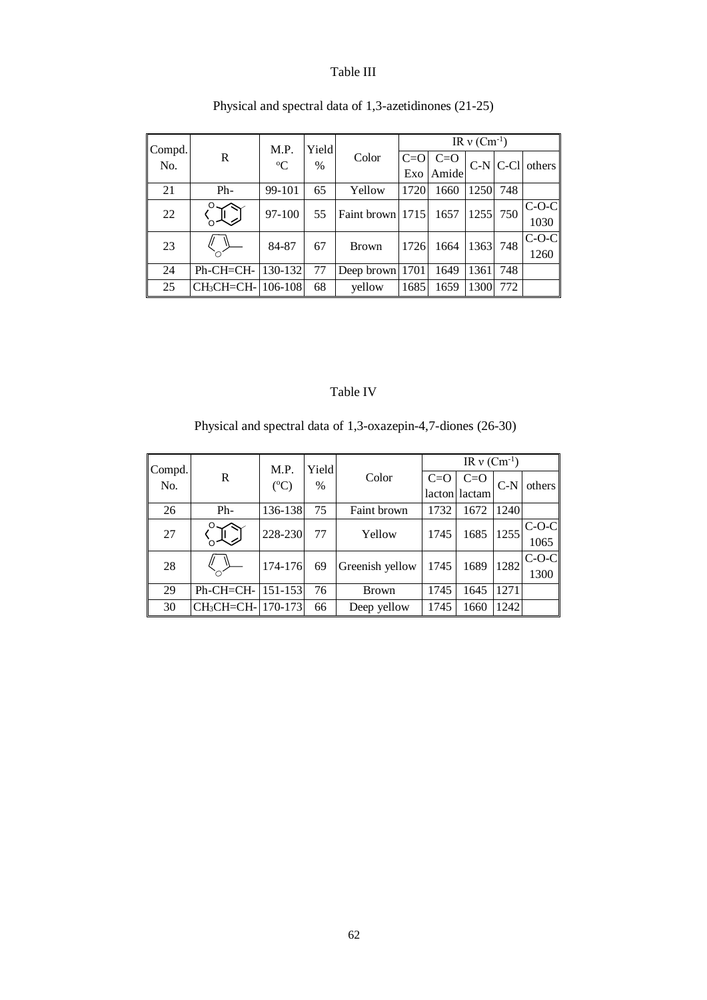# Table III

|               |                               | M.P.        | Yield |                  | IR $v$ (Cm <sup>-1</sup> ) |       |      |          |                     |  |
|---------------|-------------------------------|-------------|-------|------------------|----------------------------|-------|------|----------|---------------------|--|
| Compd.<br>No. | R                             | $\rm ^{o}C$ | $\%$  | Color            | $C = O$                    | $C=O$ |      |          | $C-N$ $C-C1$ others |  |
|               |                               |             |       |                  | Exo                        | Amide |      |          |                     |  |
| 21            | $Ph-$                         | 99-101      | 65    | Yellow           | 1720                       | 1660  | 1250 | 748      |                     |  |
| 22            |                               | 97-100      | 55    | Faint brown 1715 |                            | 1657  |      |          | $C-O-C$             |  |
|               |                               |             |       |                  |                            |       |      | 1255 750 | 1030                |  |
| 23            |                               | 84-87       | 67    | Brown            | 1726                       | 1664  | 1363 | 748      | $C-O-C$             |  |
|               |                               |             |       |                  |                            |       |      |          | 1260                |  |
| 24            | $Ph$ -CH=CH-                  | 130-132     | 77    | Deep brown 1701  |                            | 1649  | 1361 | 748      |                     |  |
| 25            | CH <sub>3</sub> CH=CH-106-108 |             | 68    | yellow           | 1685                       | 1659  | 1300 | 772      |                     |  |

Physical and spectral data of 1,3-azetidinones (21-25)

# Table IV

Physical and spectral data of 1,3-oxazepin-4,7-diones (26-30)

| Compd. |                               | M.P.            | Yield |                 | IR $v$ (Cm <sup>-1</sup> ) |        |       |         |
|--------|-------------------------------|-----------------|-------|-----------------|----------------------------|--------|-------|---------|
| No.    | R                             | $({}^{\circ}C)$ | $\%$  | Color           | $C=O$                      | $C=O$  | $C-N$ | others  |
|        |                               |                 |       |                 | lacton                     | lactam |       |         |
| 26     | Ph-                           | 136-138         | 75    | Faint brown     | 1732                       | 1672   | 1240  |         |
| 27     |                               | 228-230         | 77    | Yellow          | 1745                       | 1685   | 1255  | $C-O-C$ |
|        |                               |                 |       |                 |                            |        |       | 1065    |
| 28     |                               | 174-176         | 69    | Greenish yellow | 1745                       | 1689   | 1282  | $C-O-C$ |
|        |                               |                 |       |                 |                            |        |       | 1300    |
| 29     | Ph-CH=CH-                     | $151 - 153$     | 76    | <b>Brown</b>    | 1745                       | 1645   | 1271  |         |
| 30     | CH <sub>3</sub> CH=CH-170-173 |                 | 66    | Deep yellow     | 1745                       | 1660   | 1242  |         |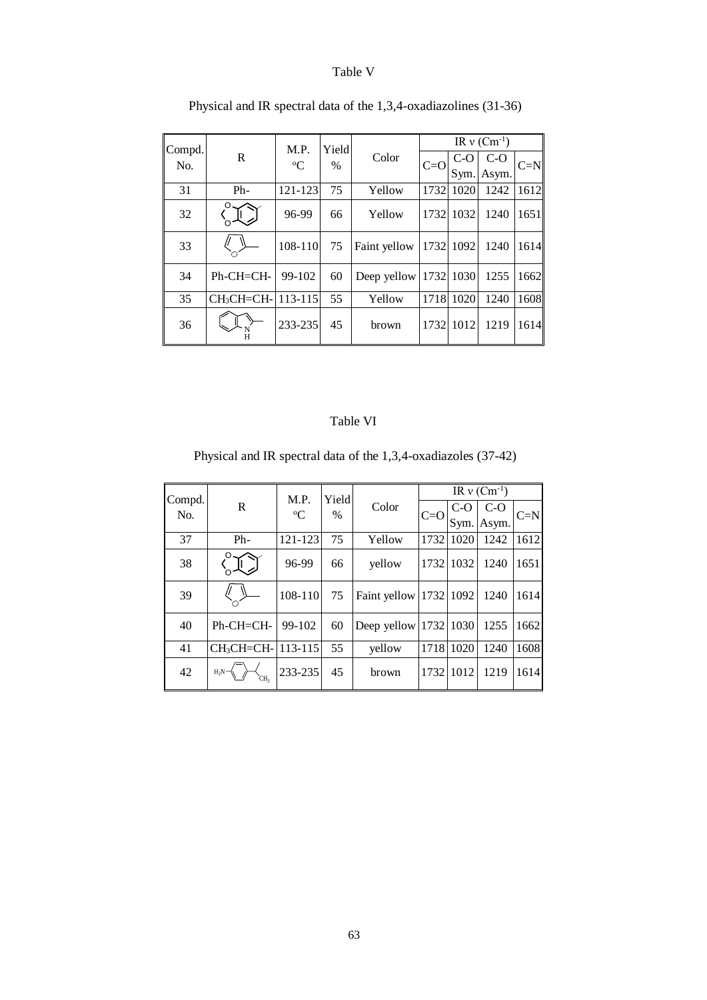### Table V

| Compd. |             | M.P.        | Yield |              | IR $v$ (Cm <sup>-1</sup> ) |       |       |       |  |
|--------|-------------|-------------|-------|--------------|----------------------------|-------|-------|-------|--|
| No.    | R           | $\rm ^{o}C$ | $\%$  | Color        |                            | $C-O$ | $C-O$ |       |  |
|        |             |             |       |              | $C=O$                      | Sym.  | Asym. | $C=N$ |  |
| 31     | $Ph-$       | 121-123     | 75    | Yellow       | 1732                       | 1020  | 1242  | 1612  |  |
| 32     |             | 96-99       | 66    | Yellow       | 1732                       | 1032  | 1240  | 1651  |  |
| 33     |             | $108 - 110$ | 75    | Faint yellow | 1732                       | 1092  | 1240  | 1614  |  |
| 34     | Ph-CH=CH-   | 99-102      | 60    | Deep yellow  | 1732                       | 1030  | 1255  | 1662  |  |
| 35     | $CH3CH=CH-$ | $113 - 115$ | 55    | Yellow       | 1718                       | 1020  | 1240  | 1608  |  |
| 36     |             | 233-235     | 45    | brown        | 1732                       | 1012  | 1219  | 1614  |  |

Physical and IR spectral data of the 1,3,4-oxadiazolines (31-36)

#### Table VI

Physical and IR spectral data of the 1,3,4-oxadiazoles (37-42)

| Compd. |                               | M.P.        | Yield         |                        | IR $v$ (Cm <sup>-1</sup> ) |       |       |       |  |
|--------|-------------------------------|-------------|---------------|------------------------|----------------------------|-------|-------|-------|--|
| No.    | R                             | $\rm ^{o}C$ | $\frac{0}{0}$ | Color                  | $C = O$                    | $C-O$ | $C-O$ | $C=N$ |  |
|        |                               |             |               |                        |                            | Sym.  | Asym. |       |  |
| 37     | $Ph-$                         | 121-123     | 75            | Yellow                 | 1732                       | 1020  | 1242  | 1612  |  |
| 38     |                               | 96-99       | 66            | yellow                 | 1732                       | 1032  | 1240  | 1651  |  |
| 39     |                               | 108-110     | 75            | Faint yellow 1732 1092 |                            |       | 1240  | 1614  |  |
| 40     | $Ph$ -CH=CH-                  | 99-102      | 60            | Deep yellow 1732 1030  |                            |       | 1255  | 1662  |  |
| 41     | CH <sub>3</sub> CH=CH-113-115 |             | 55            | yellow                 | 1718                       | 1020  | 1240  | 1608  |  |
| 42     | $H_2N -$<br>CΗ <sub>3</sub>   | 233-235     | 45            | brown                  | 1732                       | 1012  | 1219  | 1614  |  |